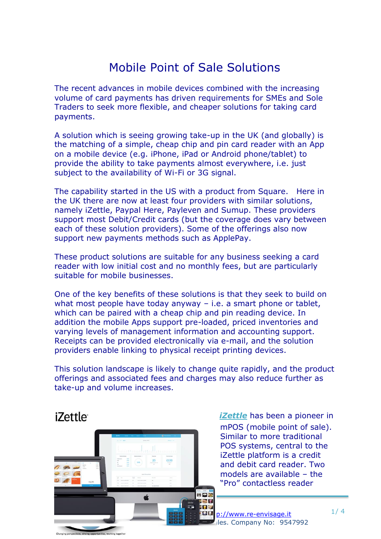## Mobile Point of Sale Solutions

The recent advances in mobile devices combined with the increasing volume of card payments has driven requirements for SMEs and Sole Traders to seek more flexible, and cheaper solutions for taking card payments.

A solution which is seeing growing take-up in the UK (and globally) is the matching of a simple, cheap chip and pin card reader with an App on a mobile device (e.g. iPhone, iPad or Android phone/tablet) to provide the ability to take payments almost everywhere, i.e. just subject to the availability of Wi-Fi or 3G signal.

The capability started in the US with a product from Square. Here in the UK there are now at least four providers with similar solutions, namely iZettle, Paypal Here, Payleven and Sumup. These providers support most Debit/Credit cards (but the coverage does vary between each of these solution providers). Some of the offerings also now support new payments methods such as ApplePay.

These product solutions are suitable for any business seeking a card reader with low initial cost and no monthly fees, but are particularly suitable for mobile businesses.

One of the key benefits of these solutions is that they seek to build on what most people have today anyway – i.e. a smart phone or tablet, which can be paired with a cheap chip and pin reading device. In addition the mobile Apps support pre-loaded, priced inventories and varying levels of management information and accounting support. Receipts can be provided electronically via e-mail, and the solution providers enable linking to physical receipt printing devices.

This solution landscape is likely to change quite rapidly, and the product offerings and associated fees and charges may also reduce further as take-up and volume increases.

## *iZettle*



 *[iZettle](https://www.izettle.com/gb)* has been a pioneer in mPOS (mobile point of sale). Similar to more traditional POS systems, central to the iZettle platform is a credit and debit card reader. Two models are available – the "Pro" contactless reader

**QM** p://www.re-envisage.it Iles. Company No: 9547992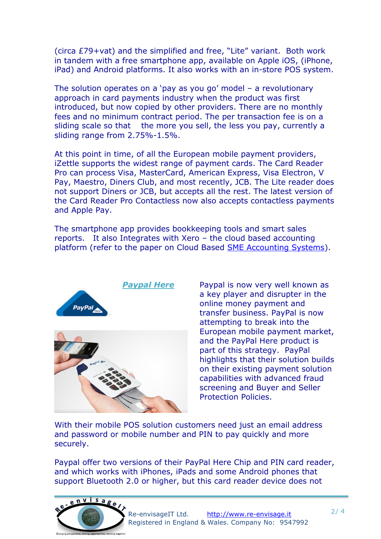(circa £79+vat) and the simplified and free, "Lite" variant. Both work in tandem with a free smartphone app, available on Apple iOS, (iPhone, iPad) and Android platforms. It also works with an in-store POS system.

The solution operates on a 'pay as you go' model – a revolutionary approach in card payments industry when the product was first introduced, but now copied by other providers. There are no monthly fees and no minimum contract period. The per transaction fee is on a sliding scale so that the more you sell, the less you pay, currently a sliding range from 2.75%-1.5%.

At this point in time, of all the European mobile payment providers, iZettle supports the widest range of payment cards. The Card Reader Pro can process Visa, MasterCard, American Express, Visa Electron, V Pay, Maestro, Diners Club, and most recently, JCB. The Lite reader does not support Diners or JCB, but accepts all the rest. The latest version of the Card Reader Pro Contactless now also accepts contactless payments and Apple Pay.

The smartphone app provides bookkeeping tools and smart sales reports. It also Integrates with Xero – the cloud based accounting platform (refer to the paper on Cloud Based [SME Accounting Systems\)](http://www.re-envisage.it/index.php/topics-ideas/30-sme-accounting-systems-are-moving-from-on-premise-to-cloud-based-solutions).





**[Paypal Here](https://www.paypal.com/uk/webapps/mpp/credit-card-reader)** Paypal is now very well known as a key player and disrupter in the online money payment and transfer business. PayPal is now attempting to break into the European mobile payment market, and the PayPal Here product is part of this strategy. PayPal highlights that their solution builds on their existing payment solution capabilities with advanced fraud screening and Buyer and Seller Protection Policies.

With their mobile POS solution customers need just an email address and password or mobile number and PIN to pay quickly and more securely.

Paypal offer two versions of their PayPal Here Chip and PIN card reader, and which works with iPhones, iPads and some Android phones that support Bluetooth 2.0 or higher, but this card reader device does not

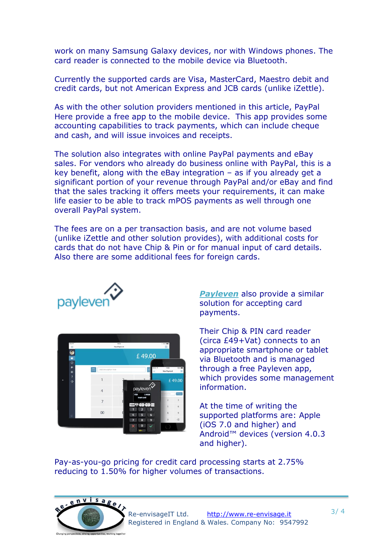work on many Samsung Galaxy devices, nor with Windows phones. The card reader is connected to the mobile device via Bluetooth.

Currently the supported cards are Visa, MasterCard, Maestro debit and credit cards, but not American Express and JCB cards (unlike iZettle).

As with the other solution providers mentioned in this article, PayPal Here provide a free app to the mobile device. This app provides some accounting capabilities to track payments, which can include cheque and cash, and will issue invoices and receipts.

The solution also integrates with online PayPal payments and eBay sales. For vendors who already do business online with PayPal, this is a key benefit, along with the eBay integration – as if you already get a significant portion of your revenue through PayPal and/or eBay and find that the sales tracking it offers meets your requirements, it can make life easier to be able to track mPOS payments as well through one overall PayPal system.

The fees are on a per transaction basis, and are not volume based (unlike iZettle and other solution provides), with additional costs for cards that do not have Chip & Pin or for manual input of card details. Also there are some additional fees for foreign cards.



| Pat T<br>$\equiv$                                         | 10.00<br><b>New Payment</b>   | 1 WH<br>蕸                                           |                     |
|-----------------------------------------------------------|-------------------------------|-----------------------------------------------------|---------------------|
| $^{\circ}$<br>$\blacksquare$                              |                               | £49.00                                              |                     |
| $\overline{\circ}$<br>25                                  | তে<br>Add description here    | $\cdots$<br>10.00                                   | 100%                |
| ۰<br>$\overline{\mathbf{r}}$<br>n.<br>$\hat{\mathcal{O}}$ |                               | ≣<br>New Payment                                    | £49.00              |
|                                                           | $\overline{4}$<br><b>VISA</b> | payleven<br><b>BECAUCHER</b><br>£49.00              | Ching               |
|                                                           | $\overline{7}$                | Insert card<br>$\overline{2}$<br>VISA M China Grand | $\overline{3}$      |
| 司                                                         | 00<br>4                       | 5<br>3<br>$\overline{8}$<br>6<br>5                  | 6<br>$\overline{9}$ |
|                                                           | 7                             | $\circ$<br>8<br>9                                   | $\circledcirc$      |

*[Payleven](https://payleven.co.uk/mobile/)* also provide a similar solution for accepting card payments.

Their Chip & PIN card reader (circa £49+Vat) connects to an appropriate smartphone or tablet via Bluetooth and is managed through a free Payleven app, which provides some management information.

At the time of writing the supported platforms are: Apple (iOS 7.0 and higher) and Android™ devices (version 4.0.3 and higher).

Pay-as-you-go pricing for credit card processing starts at 2.75% reducing to 1.50% for higher volumes of transactions.